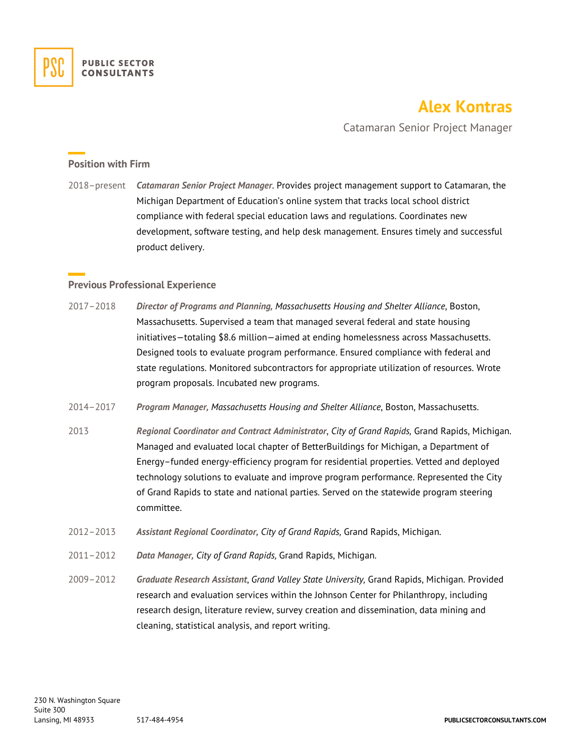

# **Alex Kontras**

Catamaran Senior Project Manager

### **Position with Firm**

2018–present *Catamaran Senior Project Manager*. Provides project management support to Catamaran, the Michigan Department of Education's online system that tracks local school district compliance with federal special education laws and regulations. Coordinates new development, software testing, and help desk management. Ensures timely and successful product delivery.

#### **Previous Professional Experience**

- 2017–2018 *Director of Programs and Planning, Massachusetts Housing and Shelter Alliance*, Boston, Massachusetts. Supervised a team that managed several federal and state housing initiatives—totaling \$8.6 million—aimed at ending homelessness across Massachusetts. Designed tools to evaluate program performance. Ensured compliance with federal and state regulations. Monitored subcontractors for appropriate utilization of resources. Wrote program proposals. Incubated new programs.
- 2014–2017 *Program Manager, Massachusetts Housing and Shelter Alliance*, Boston, Massachusetts.
- 2013 *Regional Coordinator and Contract Administrator*, *City of Grand Rapids,* Grand Rapids, Michigan. Managed and evaluated local chapter of BetterBuildings for Michigan, a Department of Energy–funded energy-efficiency program for residential properties. Vetted and deployed technology solutions to evaluate and improve program performance. Represented the City of Grand Rapids to state and national parties. Served on the statewide program steering committee.
- 2012–2013 *Assistant Regional Coordinator, City of Grand Rapids,* Grand Rapids, Michigan.
- 2011–2012 *Data Manager, City of Grand Rapids,* Grand Rapids, Michigan.
- 2009–2012 *Graduate Research Assistant*, *Grand Valley State University,* Grand Rapids, Michigan. Provided research and evaluation services within the Johnson Center for Philanthropy, including research design, literature review, survey creation and dissemination, data mining and cleaning, statistical analysis, and report writing.